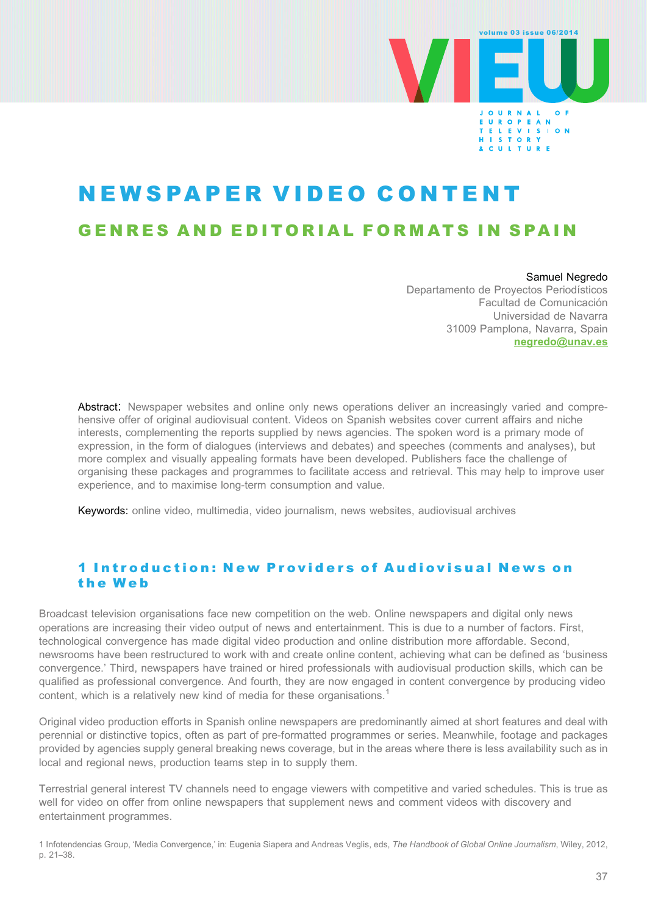

# NEWSPAPER VIDEO CONTENT GENRES AND EDITORIAL FORMATS IN SPAIN

Samuel Negredo Departamento de Proyectos Periodísticos Facultad de Comunicación Universidad de Navarra 31009 Pamplona, Navarra, Spain [negredo@unav.es](mailto:negredo@unav.es)

Abstract: Newspaper websites and online only news operations deliver an increasingly varied and comprehensive offer of original audiovisual content. Videos on Spanish websites cover current affairs and niche interests, complementing the reports supplied by news agencies. The spoken word is a primary mode of expression, in the form of dialogues (interviews and debates) and speeches (comments and analyses), but more complex and visually appealing formats have been developed. Publishers face the challenge of organising these packages and programmes to facilitate access and retrieval. This may help to improve user experience, and to maximise long-term consumption and value.

Keywords: online video, multimedia, video journalism, news websites, audiovisual archives

# 1 Introduction: New Providers of Audiovisual News on the Web

Broadcast television organisations face new competition on the web. Online newspapers and digital only news operations are increasing their video output of news and entertainment. This is due to a number of factors. First, technological convergence has made digital video production and online distribution more affordable. Second, newsrooms have been restructured to work with and create online content, achieving what can be defined as 'business convergence.' Third, newspapers have trained or hired professionals with audiovisual production skills, which can be qualified as professional convergence. And fourth, they are now engaged in content convergence by producing video content, which is a relatively new kind of media for these organisations.<sup>1</sup>

Original video production efforts in Spanish online newspapers are predominantly aimed at short features and deal with perennial or distinctive topics, often as part of pre-formatted programmes or series. Meanwhile, footage and packages provided by agencies supply general breaking news coverage, but in the areas where there is less availability such as in local and regional news, production teams step in to supply them.

Terrestrial general interest TV channels need to engage viewers with competitive and varied schedules. This is true as well for video on offer from online newspapers that supplement news and comment videos with discovery and entertainment programmes.

1 Infotendencias Group, 'Media Convergence,' in: Eugenia Siapera and Andreas Veglis, eds, The Handbook of Global Online Journalism, Wiley, 2012, p. 21–38.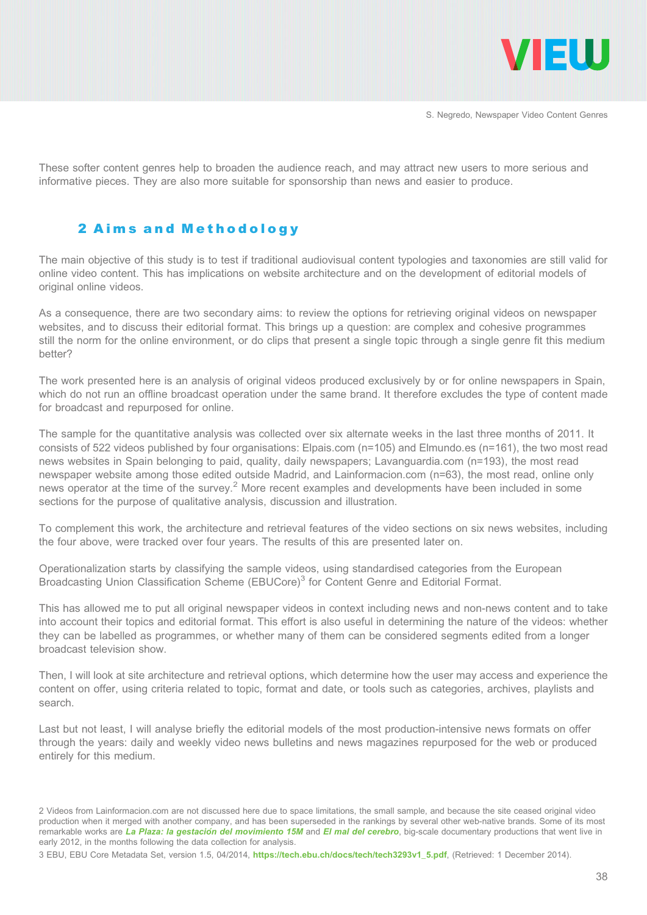

These softer content genres help to broaden the audience reach, and may attract new users to more serious and informative pieces. They are also more suitable for sponsorship than news and easier to produce.

# 2 Aims and Methodology

The main objective of this study is to test if traditional audiovisual content typologies and taxonomies are still valid for online video content. This has implications on website architecture and on the development of editorial models of original online videos.

As a consequence, there are two secondary aims: to review the options for retrieving original videos on newspaper websites, and to discuss their editorial format. This brings up a question: are complex and cohesive programmes still the norm for the online environment, or do clips that present a single topic through a single genre fit this medium better?

The work presented here is an analysis of original videos produced exclusively by or for online newspapers in Spain, which do not run an offline broadcast operation under the same brand. It therefore excludes the type of content made for broadcast and repurposed for online.

The sample for the quantitative analysis was collected over six alternate weeks in the last three months of 2011. It consists of 522 videos published by four organisations: Elpais.com (n=105) and Elmundo.es (n=161), the two most read news websites in Spain belonging to paid, quality, daily newspapers; Lavanguardia.com (n=193), the most read newspaper website among those edited outside Madrid, and Lainformacion.com (n=63), the most read, online only news operator at the time of the survey.<sup>2</sup> More recent examples and developments have been included in some sections for the purpose of qualitative analysis, discussion and illustration.

To complement this work, the architecture and retrieval features of the video sections on six news websites, including the four above, were tracked over four years. The results of this are presented later on.

Operationalization starts by classifying the sample videos, using standardised categories from the European Broadcasting Union Classification Scheme (EBUCore)<sup>3</sup> for Content Genre and Editorial Format.

This has allowed me to put all original newspaper videos in context including news and non-news content and to take into account their topics and editorial format. This effort is also useful in determining the nature of the videos: whether they can be labelled as programmes, or whether many of them can be considered segments edited from a longer broadcast television show.

Then, I will look at site architecture and retrieval options, which determine how the user may access and experience the content on offer, using criteria related to topic, format and date, or tools such as categories, archives, playlists and search.

Last but not least, I will analyse briefly the editorial models of the most production-intensive news formats on offer through the years: daily and weekly video news bulletins and news magazines repurposed for the web or produced entirely for this medium.

<sup>2</sup> Videos from Lainformacion.com are not discussed here due to space limitations, the small sample, and because the site ceased original video production when it merged with another company, and has been superseded in the rankings by several other web-native brands. Some of its most remarkable works are La Plaza: la gestación del movimiento 15M and [El mal del cerebro](http://especiales.lainformacion.com/ciencia/el-mal-del-cerebro/), big-scale documentary productions that went live in early 2012, in the months following the data collection for analysis.

<sup>3</sup> EBU, EBU Core Metadata Set, version 1.5, 04/2014, [https://tech.ebu.ch/docs/tech/tech3293v1\\_5.pdf](https://tech.ebu.ch/docs/tech/tech3293v1_5.pdf), (Retrieved: 1 December 2014).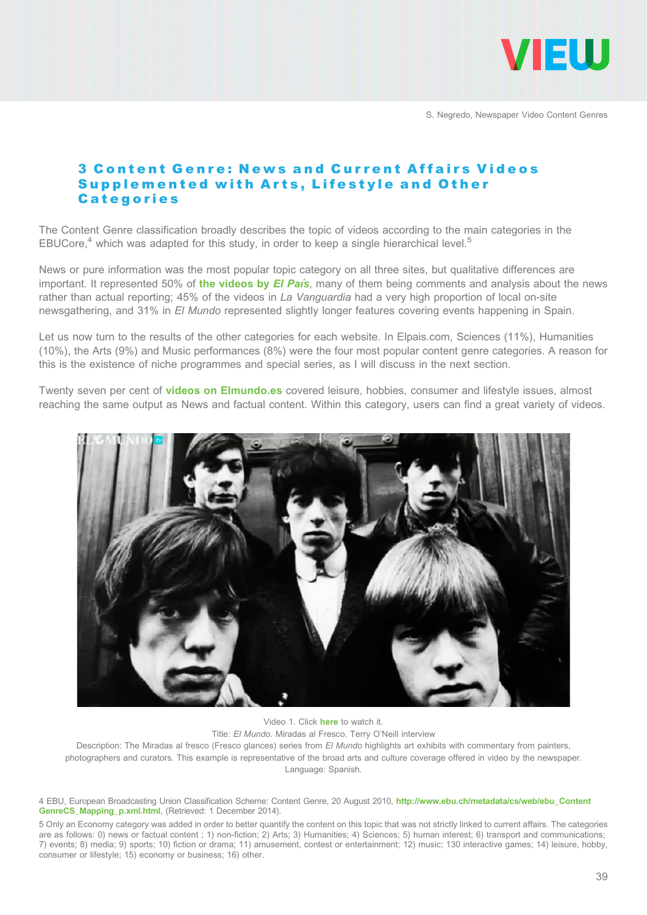

# 3 Content Genre: News and Current Affairs Videos Supplemented with Arts, Lifestyle and Other **Categories**

The Content Genre classification broadly describes the topic of videos according to the main categories in the EBUCore,<sup>4</sup> which was adapted for this study, in order to keep a single hierarchical level.<sup>5</sup>

News or pure information was the most popular topic category on all three sites, but qualitative differences are important. It represented 50% of [the videos by](http://elpais.com/elpais/videos.html) El País, many of them being comments and analysis about the news rather than actual reporting; 45% of the videos in La Vanguardia had a very high proportion of local on-site newsgathering, and 31% in El Mundo represented slightly longer features covering events happening in Spain.

Let us now turn to the results of the other categories for each website. In Elpais.com, Sciences (11%), Humanities (10%), the Arts (9%) and Music performances (8%) were the four most popular content genre categories. A reason for this is the existence of niche programmes and special series, as I will discuss in the next section.

Twenty seven per cent of **[videos on Elmundo.es](http://www.elmundo.es/elmundotv/)** covered leisure, hobbies, consumer and lifestyle issues, almost reaching the same output as News and factual content. Within this category, users can find a great variety of videos.



Video 1. Click [here](http://www.youtube.com/watch?v=cvnThnATu8U) to watch it.

Title: El Mundo. Miradas al Fresco. Terry O'Neill interview

Description: The Miradas al fresco (Fresco glances) series from El Mundo highlights art exhibits with commentary from painters, photographers and curators. This example is representative of the broad arts and culture coverage offered in video by the newspaper. Language: Spanish.

4 EBU, European Broadcasting Union Classification Scheme: Content Genre, 20 August 2010, [http://www.ebu.ch/metadata/cs/web/ebu\\_Content](http://www.ebu.ch/metadata/cs/web/ebu_ContentGenreCS_Mapping_p.xml.html) [GenreCS\\_Mapping\\_p.xml.html](http://www.ebu.ch/metadata/cs/web/ebu_ContentGenreCS_Mapping_p.xml.html), (Retrieved: 1 December 2014).

5 Only an Economy category was added in order to better quantify the content on this topic that was not strictly linked to current affairs. The categories are as follows: 0) news or factual content ; 1) non-fiction; 2) Arts; 3) Humanities; 4) Sciences; 5) human interest; 6) transport and communications; 7) events; 8) media; 9) sports; 10) fiction or drama; 11) amusement, contest or entertainment; 12) music; 130 interactive games; 14) leisure, hobby, consumer or lifestyle; 15) economy or business; 16) other.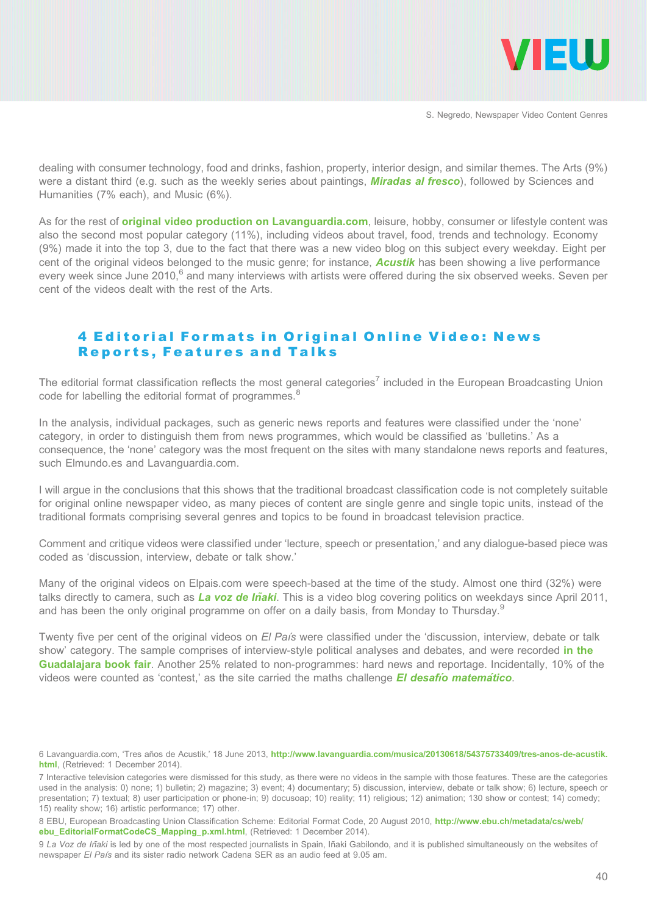

dealing with consumer technology, food and drinks, fashion, property, interior design, and similar themes. The Arts (9%) were a distant third (e.g. such as the weekly series about paintings, **[Miradas al fresco](http://www.metropoli.com/blogs/miradas-al-fresco/)**), followed by Sciences and Humanities (7% each), and Music (6%).

As for the rest of **[original video production on Lavanguardia.com](http://videos.lavanguardia.com/canal/destacados/index.html)**, leisure, hobby, consumer or lifestyle content was also the second most popular category (11%), including videos about travel, food, trends and technology. Economy (9%) made it into the top 3, due to the fact that there was a new video blog on this subject every weekday. Eight per cent of the original videos belonged to the music genre; for instance, **[Acustik](http://videos.lavanguardia.com/canal/acustik/index.html)** has been showing a live performance every week since June 2010,<sup>6</sup> and many interviews with artists were offered during the six observed weeks. Seven per cent of the videos dealt with the rest of the Arts.

#### 4 Editorial Formats in Original Online Video: News Reports, Features and Talks

The editorial format classification reflects the most general categories<sup>7</sup> included in the European Broadcasting Union code for labelling the editorial format of programmes.<sup>8</sup>

In the analysis, individual packages, such as generic news reports and features were classified under the 'none' category, in order to distinguish them from news programmes, which would be classified as 'bulletins.' As a consequence, the 'none' category was the most frequent on the sites with many standalone news reports and features, such Elmundo.es and Lavanguardia.com.

I will argue in the conclusions that this shows that the traditional broadcast classification code is not completely suitable for original online newspaper video, as many pieces of content are single genre and single topic units, instead of the traditional formats comprising several genres and topics to be found in broadcast television practice.

Comment and critique videos were classified under 'lecture, speech or presentation,' and any dialogue-based piece was coded as 'discussion, interview, debate or talk show.'

Many of the original videos on Elpais.com were speech-based at the time of the study. Almost one third (32%) were talks directly to camera, such as La voz de Iñaki. This is a video blog covering politics on weekdays since April 2011, and has been the only original programme on offer on a daily basis, from Monday to Thursday.<sup>9</sup>

Twenty five per cent of the original videos on El País were classified under the 'discussion, interview, debate or talk show' category. The sample comprises of interview-style political analyses and debates, and were recorded [in the](http://blogs.elpais.com/papeles-perdidos/feria-de-guadalajara-2011-v%C3%ADdeos/) [Guadalajara book fair](http://blogs.elpais.com/papeles-perdidos/feria-de-guadalajara-2011-v%C3%ADdeos/). Another 25% related to non-programmes: hard news and reportage. Incidentally, 10% of the videos were counted as 'contest,' as the site carried the maths challenge  $E$  desafio matematico.

<sup>6</sup> Lavanguardia.com, 'Tres años de Acustik,' 18 June 2013, [http://www.lavanguardia.com/musica/20130618/54375733409/tres-anos-de-acustik.](http://www.lavanguardia.com/musica/20130618/54375733409/tres-anos-de-acustik.html) [html](http://www.lavanguardia.com/musica/20130618/54375733409/tres-anos-de-acustik.html), (Retrieved: 1 December 2014).

<sup>7</sup> Interactive television categories were dismissed for this study, as there were no videos in the sample with those features. These are the categories used in the analysis: 0) none; 1) bulletin; 2) magazine; 3) event; 4) documentary; 5) discussion, interview, debate or talk show; 6) lecture, speech or presentation; 7) textual; 8) user participation or phone-in; 9) docusoap; 10) reality; 11) religious; 12) animation; 130 show or contest; 14) comedy; 15) reality show; 16) artistic performance; 17) other.

<sup>8</sup> EBU, European Broadcasting Union Classification Scheme: Editorial Format Code, 20 August 2010, [http://www.ebu.ch/metadata/cs/web/](http://www.ebu.ch/metadata/cs/web/ebu_EditorialFormatCodeCS_Mapping_p.xml.html) [ebu\\_EditorialFormatCodeCS\\_Mapping\\_p.xml.html](http://www.ebu.ch/metadata/cs/web/ebu_EditorialFormatCodeCS_Mapping_p.xml.html), (Retrieved: 1 December 2014).

<sup>9</sup> La Voz de Inaki is led by one of the most respected journalists in Spain, Inaki Gabilondo, and it is published simultaneously on the websites of newspaper El País and its sister radio network Cadena SER as an audio feed at 9.05 am.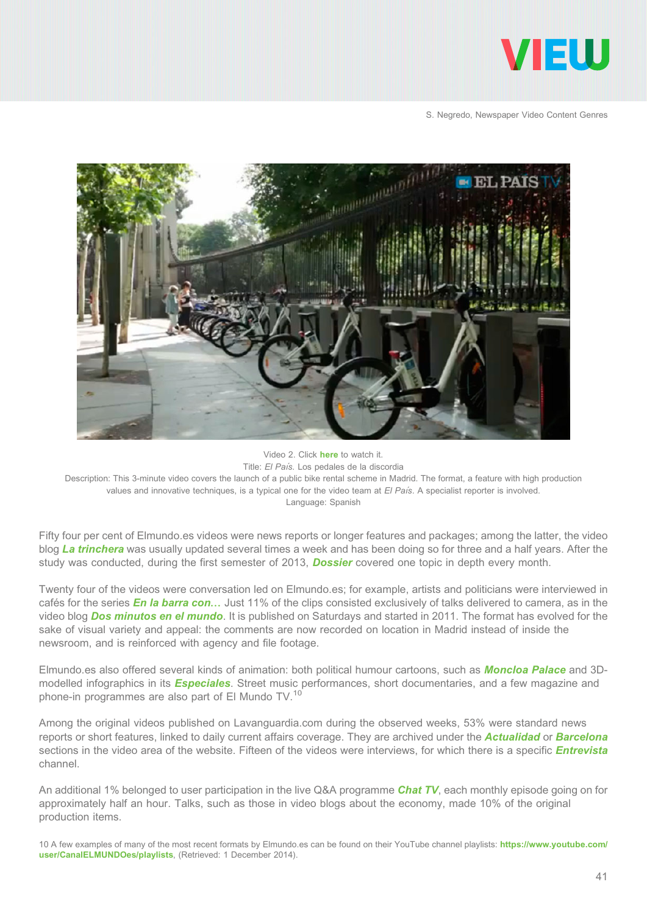



Video 2. Click [here](http://www.youtube.com/watch?v=0zaPksLVtqU) to watch it. Title: El País. Los pedales de la discordia Description: This 3-minute video covers the launch of a public bike rental scheme in Madrid. The format, a feature with high production values and innovative techniques, is a typical one for the video team at  $El Pa/s$ . A specialist reporter is involved. Language: Spanish

Fifty four per cent of Elmundo.es videos were news reports or longer features and packages; among the latter, the video blog [La trinchera](http://www.elmundo.es/blogs/elmundo/latrinchera/) was usually updated several times a week and has been doing so for three and a half years. After the study was conducted, during the first semester of 2013, **[Dossier](http://www.elmundo.es/elmundo/2013/06/13/espana/1371136260.html)** covered one topic in depth every month.

Twenty four of the videos were conversation led on Elmundo.es; for example, artists and politicians were interviewed in cafés for the series *[En la barra con](http://www.elmundo.es/elmundo/tags/99/en-la-barra-con.html)...* Just 11% of the clips consisted exclusively of talks delivered to camera, as in the video blog **[Dos minutos en el mundo](http://www.elmundo.es/blogs/elmundo/dos-minutos-en-el-mundo/)**. It is published on Saturdays and started in 2011. The format has evolved for the sake of visual variety and appeal: the comments are now recorded on location in Madrid instead of inside the newsroom, and is reinforced with agency and file footage.

Elmundo.es also offered several kinds of animation: both political humour cartoons, such as **[Moncloa Palace](http://www.elmundo.es/especiales/moncloa_palace/)** and 3Dmodelled infographics in its **[Especiales](http://www.elmundo.es/especiales/)**. Street music performances, short documentaries, and a few magazine and phone-in programmes are also part of El Mundo TV.<sup>10</sup>

Among the original videos published on Lavanguardia.com during the observed weeks, 53% were standard news reports or short features, linked to daily current affairs coverage. They are archived under the **[Actualidad](http://videos.lavanguardia.com/canal/videonoticias/index.html) or [Barcelona](http://videos.lavanguardia.com/canal/barcelona/index.html)** sections in the video area of the website. Fifteen of the videos were interviews, for which there is a specific *[Entrevista](http://videos.lavanguardia.com/canal/entrevistas/index.html)* channel.

An additional 1% belonged to user participation in the live Q&A programme [Chat TV](http://videos.lavanguardia.com/canal/chat-tv/index.html), each monthly episode going on for approximately half an hour. Talks, such as those in video blogs about the economy, made 10% of the original production items.

10 A few examples of many of the most recent formats by Elmundo.es can be found on their YouTube channel playlists: [https://www.youtube.com/](https://www.youtube.com/user/CanalELMUNDOes/playlists) [user/CanalELMUNDOes/playlists](https://www.youtube.com/user/CanalELMUNDOes/playlists), (Retrieved: 1 December 2014).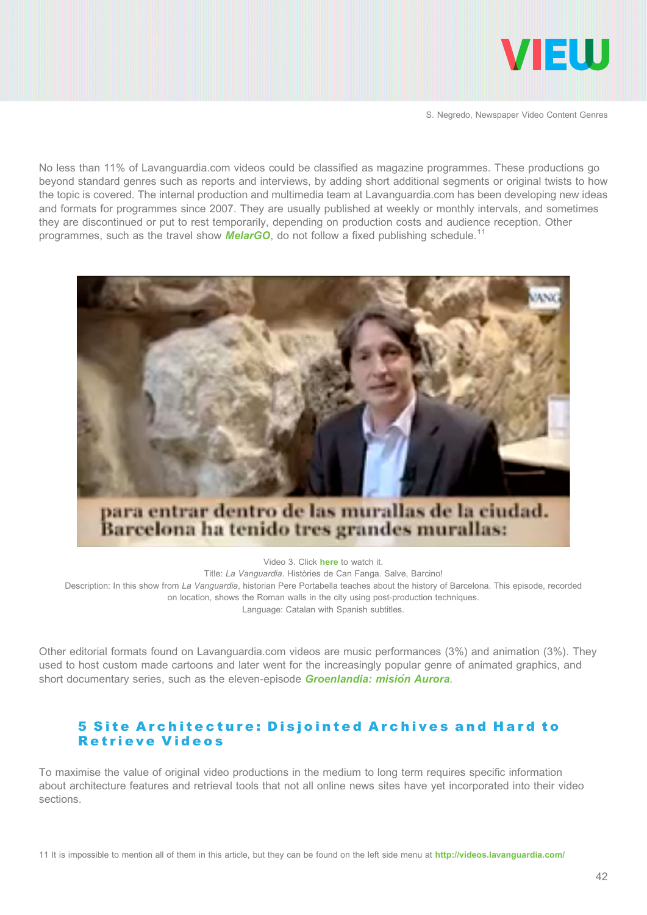

No less than 11% of Lavanguardia.com videos could be classified as magazine programmes. These productions go beyond standard genres such as reports and interviews, by adding short additional segments or original twists to how the topic is covered. The internal production and multimedia team at Lavanguardia.com has been developing new ideas and formats for programmes since 2007. They are usually published at weekly or monthly intervals, and sometimes they are discontinued or put to rest temporarily, depending on production costs and audience reception. Other programmes, such as the travel show **[MelarGO](http://videos.lavanguardia.com/canal/melargo/index.html)**, do not follow a fixed publishing schedule.<sup>11</sup>



# para entrar dentro de las murallas de la ciudad. Barcelona ha tenido tres grandes murallas:

Video 3. Click [here](http://www.youtube.com/watch?v=oIeiDlCKbAM) to watch it. Title: La Vanguardia. Històries de Can Fanga. Salve, Barcino! Description: In this show from La Vanguardia, historian Pere Portabella teaches about the history of Barcelona. This episode, recorded on location, shows the Roman walls in the city using post-production techniques. Language: Catalan with Spanish subtitles.

Other editorial formats found on Lavanguardia.com videos are music performances (3%) and animation (3%). They used to host custom made cartoons and later went for the increasingly popular genre of animated graphics, and short documentary series, such as the eleven-episode Groenlandia: misión Aurora.

#### 5 Site Architecture: Disjointed Archives and Hard to Retrieve Videos

To maximise the value of original video productions in the medium to long term requires specific information about architecture features and retrieval tools that not all online news sites have yet incorporated into their video sections.

11 It is impossible to mention all of them in this article, but they can be found on the left side menu at <http://videos.lavanguardia.com/>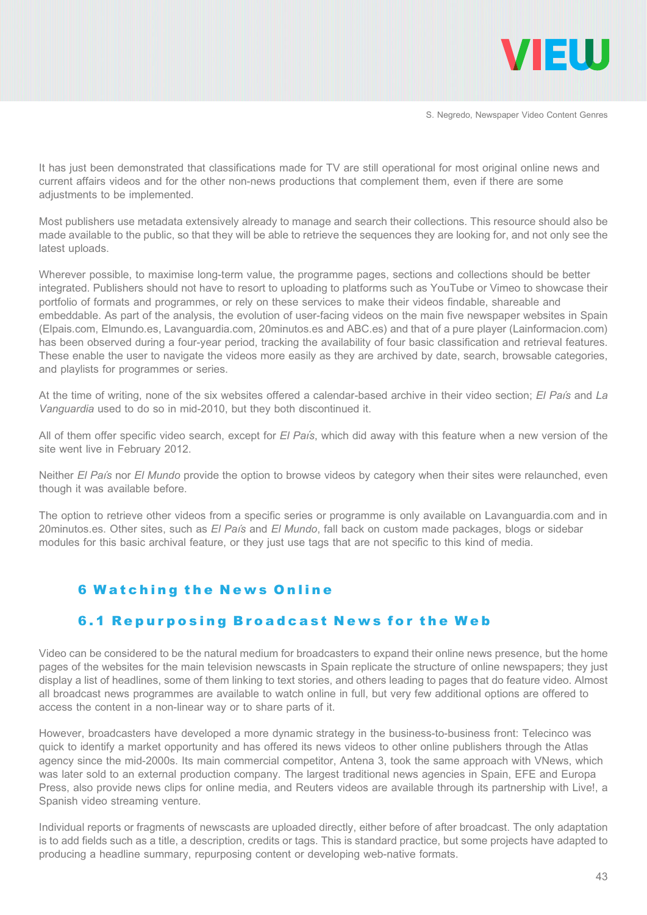

It has just been demonstrated that classifications made for TV are still operational for most original online news and current affairs videos and for the other non-news productions that complement them, even if there are some adjustments to be implemented.

Most publishers use metadata extensively already to manage and search their collections. This resource should also be made available to the public, so that they will be able to retrieve the sequences they are looking for, and not only see the latest uploads.

Wherever possible, to maximise long-term value, the programme pages, sections and collections should be better integrated. Publishers should not have to resort to uploading to platforms such as YouTube or Vimeo to showcase their portfolio of formats and programmes, or rely on these services to make their videos findable, shareable and embeddable. As part of the analysis, the evolution of user-facing videos on the main five newspaper websites in Spain (Elpais.com, Elmundo.es, Lavanguardia.com, 20minutos.es and ABC.es) and that of a pure player (Lainformacion.com) has been observed during a four-year period, tracking the availability of four basic classification and retrieval features. These enable the user to navigate the videos more easily as they are archived by date, search, browsable categories, and playlists for programmes or series.

At the time of writing, none of the six websites offered a calendar-based archive in their video section; El País and La Vanguardia used to do so in mid-2010, but they both discontinued it.

All of them offer specific video search, except for El País, which did away with this feature when a new version of the site went live in February 2012.

Neither El País nor El Mundo provide the option to browse videos by category when their sites were relaunched, even though it was available before.

The option to retrieve other videos from a specific series or programme is only available on Lavanguardia.com and in 20minutos.es. Other sites, such as El País and El Mundo, fall back on custom made packages, blogs or sidebar modules for this basic archival feature, or they just use tags that are not specific to this kind of media.

#### 6 Watching the News Online

#### 6.1 Repurposing Broadcast News for the Web

Video can be considered to be the natural medium for broadcasters to expand their online news presence, but the home pages of the websites for the main television newscasts in Spain replicate the structure of online newspapers; they just display a list of headlines, some of them linking to text stories, and others leading to pages that do feature video. Almost all broadcast news programmes are available to watch online in full, but very few additional options are offered to access the content in a non-linear way or to share parts of it.

However, broadcasters have developed a more dynamic strategy in the business-to-business front: Telecinco was quick to identify a market opportunity and has offered its news videos to other online publishers through the Atlas agency since the mid-2000s. Its main commercial competitor, Antena 3, took the same approach with VNews, which was later sold to an external production company. The largest traditional news agencies in Spain, EFE and Europa Press, also provide news clips for online media, and Reuters videos are available through its partnership with Live!, a Spanish video streaming venture.

Individual reports or fragments of newscasts are uploaded directly, either before of after broadcast. The only adaptation is to add fields such as a title, a description, credits or tags. This is standard practice, but some projects have adapted to producing a headline summary, repurposing content or developing web-native formats.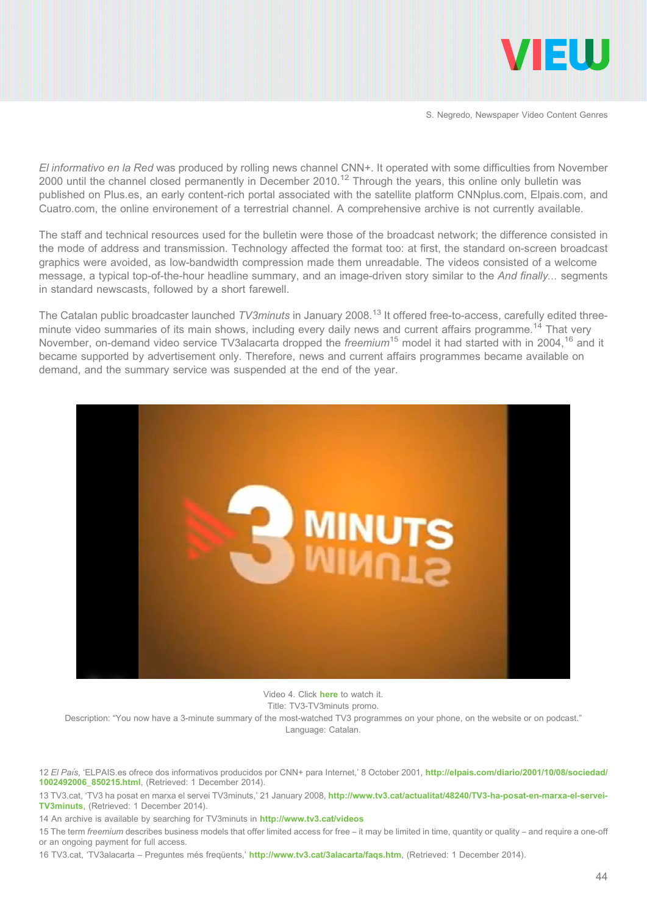

El informativo en la Red was produced by rolling news channel CNN+. It operated with some difficulties from November 2000 until the channel closed permanently in December 2010.<sup>12</sup> Through the years, this online only bulletin was published on Plus.es, an early content-rich portal associated with the satellite platform CNNplus.com, Elpais.com, and Cuatro.com, the online environement of a terrestrial channel. A comprehensive archive is not currently available.

The staff and technical resources used for the bulletin were those of the broadcast network; the difference consisted in the mode of address and transmission. Technology affected the format too: at first, the standard on-screen broadcast graphics were avoided, as low-bandwidth compression made them unreadable. The videos consisted of a welcome message, a typical top-of-the-hour headline summary, and an image-driven story similar to the And finally... segments in standard newscasts, followed by a short farewell.

The Catalan public broadcaster launched TV3minuts in January 2008.<sup>13</sup> It offered free-to-access, carefully edited threeminute video summaries of its main shows, including every daily news and current affairs programme.<sup>14</sup> That very November, on-demand video service TV3alacarta dropped the *freemium*<sup>15</sup> model it had started with in 2004, <sup>16</sup> and it became supported by advertisement only. Therefore, news and current affairs programmes became available on demand, and the summary service was suspended at the end of the year.



Video 4. Click [here](http://www.youtube.com/watch?v=lGgvznFbEaY) to watch it. Title: TV3-TV3minuts promo.

Description: "You now have a 3-minute summary of the most-watched TV3 programmes on your phone, on the website or on podcast." Language: Catalan.

12 El País, 'ELPAIS.es ofrece dos informativos producidos por CNN+ para Internet,' 8 October 2001, [http://elpais.com/diario/2001/10/08/sociedad/](http://elpais.com/diario/2001/10/08/sociedad/1002492006_850215.html) [1002492006\\_850215.html](http://elpais.com/diario/2001/10/08/sociedad/1002492006_850215.html), (Retrieved: 1 December 2014).

13 TV3.cat, 'TV3 ha posat en marxa el servei TV3minuts,' 21 January 2008, [http://www.tv3.cat/actualitat/48240/TV3-ha-posat-en-marxa-el-servei-](http://www.tv3.cat/actualitat/48240/TV3-ha-posat-en-marxa-el-servei-TV3minuts)[TV3minuts](http://www.tv3.cat/actualitat/48240/TV3-ha-posat-en-marxa-el-servei-TV3minuts), (Retrieved: 1 December 2014).

14 An archive is available by searching for TV3minuts in <http://www.tv3.cat/videos>

15 The term freemium describes business models that offer limited access for free – it may be limited in time, quantity or quality – and require a one-off or an ongoing payment for full access.

16 TV3.cat, 'TV3alacarta – Preguntes més freqüents,' <http://www.tv3.cat/3alacarta/faqs.htm>, (Retrieved: 1 December 2014).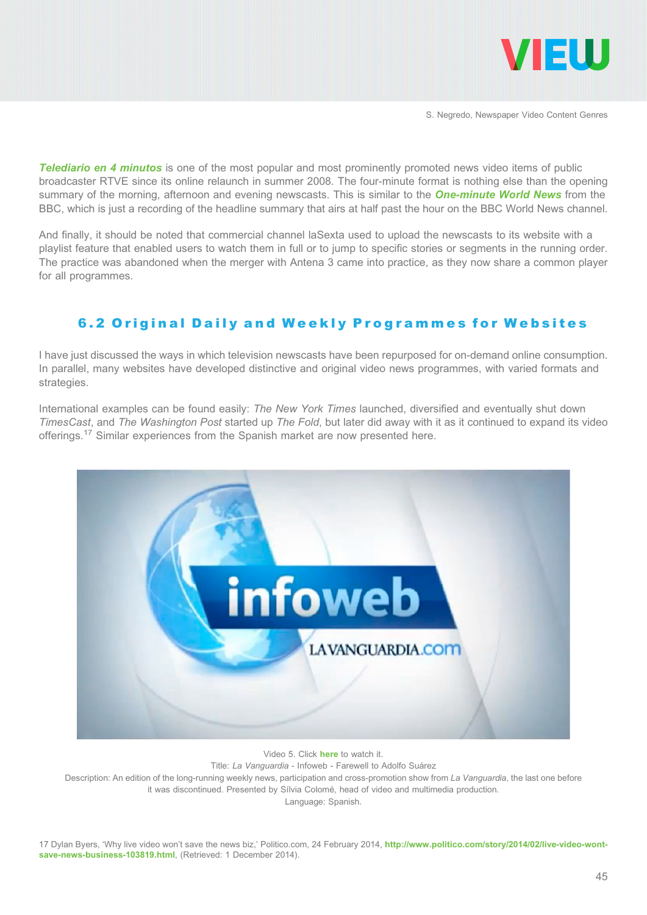

**[Telediario en 4 minutos](http://www.rtve.es/alacarta/videos/telediario/)** is one of the most popular and most prominently promoted news video items of public broadcaster RTVE since its online relaunch in summer 2008. The four-minute format is nothing else than the opening summary of the morning, afternoon and evening newscasts. This is similar to the **[One-minute World News](http://www.bbc.com/news/video_and_audio/)** from the BBC, which is just a recording of the headline summary that airs at half past the hour on the BBC World News channel.

And finally, it should be noted that commercial channel laSexta used to upload the newscasts to its website with a playlist feature that enabled users to watch them in full or to jump to specific stories or segments in the running order. The practice was abandoned when the merger with Antena 3 came into practice, as they now share a common player for all programmes.

# 6.2 Original Daily and Weekly Programmes for Websites

I have just discussed the ways in which television newscasts have been repurposed for on-demand online consumption. In parallel, many websites have developed distinctive and original video news programmes, with varied formats and strategies.

International examples can be found easily: The New York Times launched, diversified and eventually shut down TimesCast, and The Washington Post started up The Fold, but later did away with it as it continued to expand its video offerings.<sup>17</sup> Similar experiences from the Spanish market are now presented here.



Video 5. Click [here](http://www.youtube.com/watch?v=iUMCSxJFe-g) to watch it. Title: La Vanguardia - Infoweb - Farewell to Adolfo Suárez Description: An edition of the long-running weekly news, participation and cross-promotion show from La Vanguardia, the last one before it was discontinued. Presented by Sílvia Colomé, head of video and multimedia production. Language: Spanish.

17 Dylan Byers, 'Why live video won't save the news biz,' Politico.com, 24 February 2014, [http://www.politico.com/story/2014/02/live-video-wont](http://www.politico.com/story/2014/02/live-video-wont-save-news-business-103819.html)[save-news-business-103819.html](http://www.politico.com/story/2014/02/live-video-wont-save-news-business-103819.html), (Retrieved: 1 December 2014).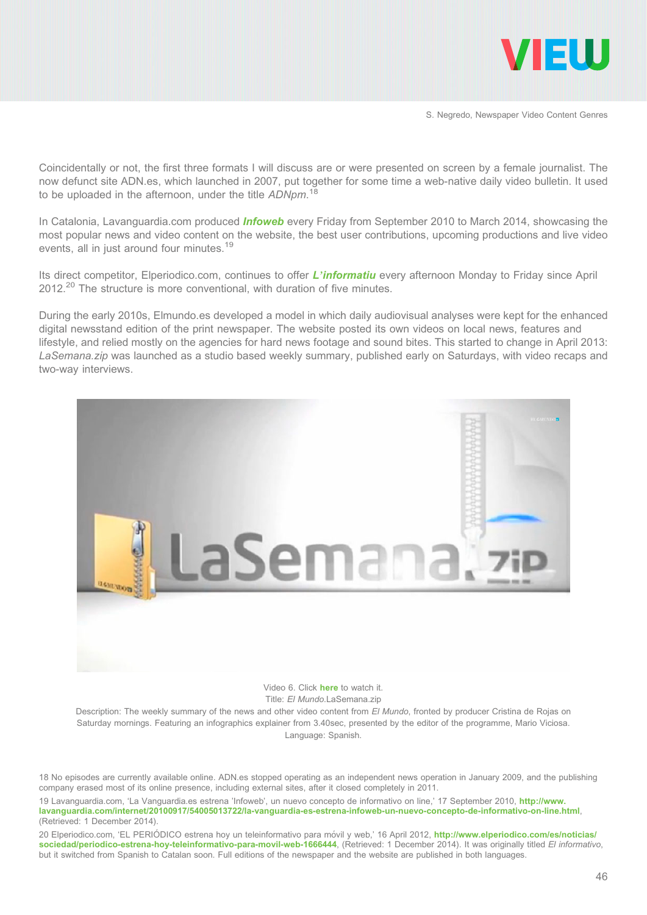

Coincidentally or not, the first three formats I will discuss are or were presented on screen by a female journalist. The now defunct site ADN.es, which launched in 2007, put together for some time a web-native daily video bulletin. It used to be uploaded in the afternoon, under the title ADNpm.<sup>18</sup>

In Catalonia, Lavanguardia.com produced *[Infoweb](http://videos.lavanguardia.com/canal/infoweb/index.html)* every Friday from September 2010 to March 2014, showcasing the most popular news and video content on the website, the best user contributions, upcoming productions and live video events, all in just around four minutes.<sup>19</sup>

Its direct competitor, Elperiodico.com, continues to offer *L'[informatiu](http://www.elperiodico.com/es/videos/informativo/)* every afternoon Monday to Friday since April  $2012.<sup>20</sup>$  The structure is more conventional, with duration of five minutes.

During the early 2010s, Elmundo.es developed a model in which daily audiovisual analyses were kept for the enhanced digital newsstand edition of the print newspaper. The website posted its own videos on local news, features and lifestyle, and relied mostly on the agencies for hard news footage and sound bites. This started to change in April 2013: LaSemana.zip was launched as a studio based weekly summary, published early on Saturdays, with video recaps and two-way interviews.



Video 6. Click **[here](http://www.youtube.com/watch?v=htJwXsAV9j4)** to watch it. Title: FI Mundo.LaSemana.zip

Description: The weekly summary of the news and other video content from El Mundo, fronted by producer Cristina de Rojas on Saturday mornings. Featuring an infographics explainer from 3.40sec, presented by the editor of the programme, Mario Viciosa. Language: Spanish.

18 No episodes are currently available online. ADN.es stopped operating as an independent news operation in January 2009, and the publishing company erased most of its online presence, including external sites, after it closed completely in 2011.

19 Lavanguardia.com, 'La Vanguardia.es estrena 'Infoweb', un nuevo concepto de informativo on line,' 17 September 2010, [http://www.](http://www.lavanguardia.com/internet/20100917/54005013722/la-vanguardia-es-estrena-infoweb-un-nuevo-concepto-de-informativo-on-line.html) [lavanguardia.com/internet/20100917/54005013722/la-vanguardia-es-estrena-infoweb-un-nuevo-concepto-de-informativo-on-line.html](http://www.lavanguardia.com/internet/20100917/54005013722/la-vanguardia-es-estrena-infoweb-un-nuevo-concepto-de-informativo-on-line.html), (Retrieved: 1 December 2014).

20 Elperiodico.com, 'EL PERIÓDICO estrena hoy un teleinformativo para móvil y web,' 16 April 2012, [http://www.elperiodico.com/es/noticias/](http://www.elperiodico.com/es/noticias/sociedad/periodico-estrena-hoy-teleinformativo-para-movil-web-1666444) [sociedad/periodico-estrena-hoy-teleinformativo-para-movil-web-1666444](http://www.elperiodico.com/es/noticias/sociedad/periodico-estrena-hoy-teleinformativo-para-movil-web-1666444), (Retrieved: 1 December 2014). It was originally titled El informativo, but it switched from Spanish to Catalan soon. Full editions of the newspaper and the website are published in both languages.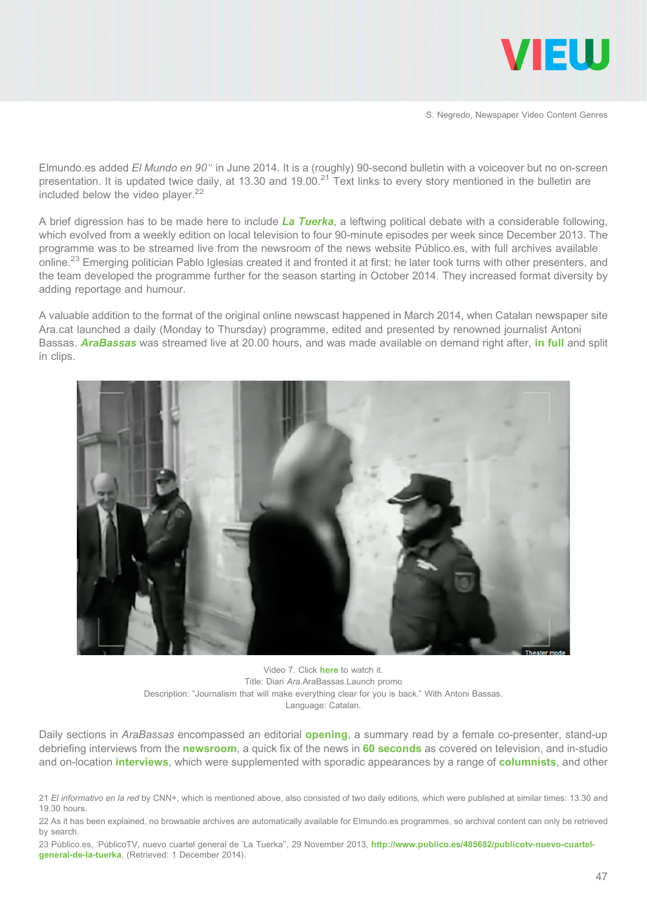

Elmundo.es added El Mundo en 90" in June 2014. It is a (roughly) 90-second bulletin with a voiceover but no on-screen presentation. It is updated twice daily, at 13.30 and 19.00.<sup>21</sup> Text links to every story mentioned in the bulletin are included below the video player.<sup>22</sup>

A brief digression has to be made here to include [La Tuerka](http://www.publico.es/publico-tv/la-tuerka), a leftwing political debate with a considerable following, which evolved from a weekly edition on local television to four 90-minute episodes per week since December 2013. The programme was to be streamed live from the newsroom of the news website Público.es, with full archives available online.<sup>23</sup> Emerging politician Pablo Iglesias created it and fronted it at first; he later took turns with other presenters, and the team developed the programme further for the season starting in October 2014. They increased format diversity by adding reportage and humour.

A valuable addition to the format of the original online newscast happened in March 2014, when Catalan newspaper site Ara.cat launched a daily (Monday to Thursday) programme, edited and presented by renowned journalist Antoni Bassas. **[AraBassas](http://www.ara.cat/arabassas/)** was streamed live at 20.00 hours, and was made available on demand right after, [in full](http://www.ara.cat/arabassas/1250/programes_sencers/) and split in clips.



Video 7. Click [here](http://www.youtube.com/watch?v=blfCE0ugSBY) to watch it. Title: Diari Ara.AraBassas.Launch promo Description: "Journalism that will make everything clear for you is back." With Antoni Bassas. Language: Catalan.

Daily sections in AraBassas encompassed an editorial **[opening](http://www.ara.cat/arabassas/1253/obertura/)**, a summary read by a female co-presenter, stand-up debriefing interviews from the [newsroom](http://www.ara.cat/arabassas/1254/ara_redaccio/), a quick fix of the news in [60 seconds](http://www.ara.cat/arabassas/1255/el_dia_en_60/) as covered on television, and in-studio and on-location *[interviews](http://www.ara.cat/arabassas/1256/el_focus/)*, which were supplemented with sporadic appearances by a range of **[columnists](http://www.ara.cat/arabassas/1258/els_columnistes/)**, and other

22 As it has been explained, no browsable archives are automatically available for Elmundo.es programmes, so archival content can only be retrieved by search.

23 Público.es, 'PúblicoTV, nuevo cuartel general de 'La Tuerka'', 29 November 2013, [http://www.publico.es/485682/publicotv-nuevo-cuartel](http://www.publico.es/485682/publicotv-nuevo-cuartel-general-de-la-tuerka)[general-de-la-tuerka](http://www.publico.es/485682/publicotv-nuevo-cuartel-general-de-la-tuerka), (Retrieved: 1 December 2014).

<sup>21</sup> El informativo en la red by CNN+, which is mentioned above, also consisted of two daily editions, which were published at similar times: 13.30 and 19.30 hours.